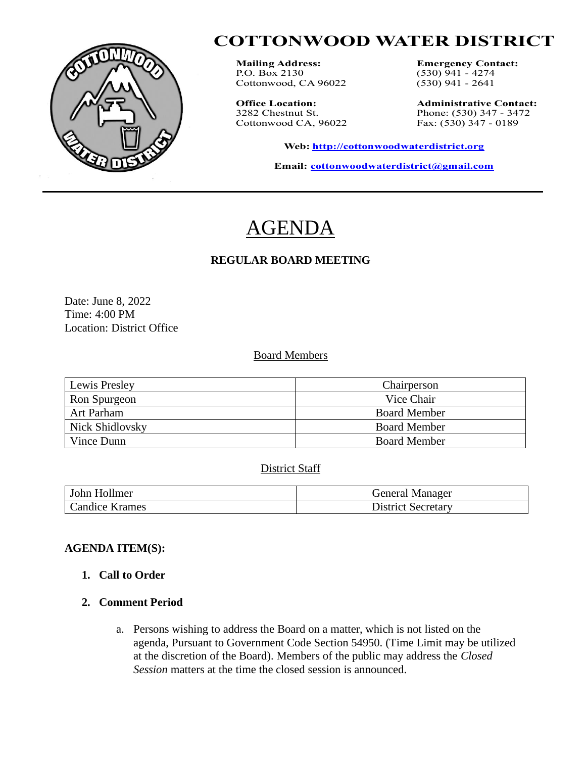

# **COTTONWOOD WATER DISTRICT**

**Mailing Address: Emergency Contact:**<br>**P.O.** Box 2130 (530) 941 - 4274 Cottonwood, CA 96022

Cottonwood CA, 96022

 $(530)$  941 - 4274<br> $(530)$  941 - 2641

**Office Location: Administrative Contact:**<br>3282 Chestnut St. **Phone:** (530) 347 - 3472 Phone: (530) 347 - 3472<br>Fax: (530) 347 - 0189

**Web: [http://cottonwoodwaterdistrict.org](about:blank)**

**Email: [cottonwoodwaterdistrict@gmail.com](about:blank)**

# **AGENDA**

# **REGULAR BOARD MEETING**

Date: June 8, 2022 Time: 4:00 PM Location: District Office

#### Board Members

| Lewis Presley   | Chairperson         |
|-----------------|---------------------|
| Ron Spurgeon    | Vice Chair          |
| Art Parham      | <b>Board Member</b> |
| Nick Shidlovsky | <b>Board Member</b> |
| Vince Dunn      | <b>Board Member</b> |

# District Staff

| John Hollmer   | General Manager        |
|----------------|------------------------|
| Candice Krames | District.<br>Secretary |

# **AGENDA ITEM(S):**

**1. Call to Order**

# **2. Comment Period**

a. Persons wishing to address the Board on a matter, which is not listed on the agenda, Pursuant to Government Code Section 54950. (Time Limit may be utilized at the discretion of the Board). Members of the public may address the *Closed Session* matters at the time the closed session is announced.